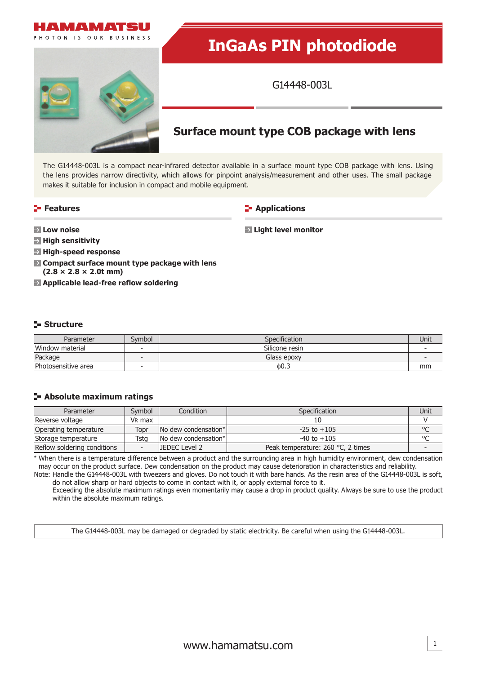

# **InGaAs PIN photodiode**

G14448-003L

# **Surface mount type COB package with lens**

The G14448-003L is a compact near-infrared detector available in a surface mount type COB package with lens. Using the lens provides narrow directivity, which allows for pinpoint analysis/measurement and other uses. The small package makes it suitable for inclusion in compact and mobile equipment.

# **Features**

**Applications** 

**Light level monitor**

**Low noise** 

**High sensitivity** 

- **High-speed response**
- **Compact surface mount type package with lens (2.8 × 2.8 × 2.0t mm)**
- **Applicable lead-free reflow soldering**

## **Structure**

| Parameter           | Symbol | Specification <sup>®</sup> | Unit |
|---------------------|--------|----------------------------|------|
| Window material     |        | Silicone resin             |      |
| Package             |        | Glass epoxy                |      |
| Photosensitive area |        | 60.3                       | mm   |

### **Absolute maximum ratings**

| Parameter                   | Symbol             | Condition <sup>1</sup> | <b>Specification</b>              | Unit    |
|-----------------------------|--------------------|------------------------|-----------------------------------|---------|
| Reverse voltage             | V <sub>R</sub> max |                        |                                   |         |
| Operating temperature       | Topr               | No dew condensation*   | $-25$ to $+105$                   | $\circ$ |
| Storage temperature         | Tsta               | No dew condensation*   | $-40$ to $+105$                   | $\circ$ |
| Reflow soldering conditions |                    | JEDEC Level 2          | Peak temperature: 260 °C, 2 times |         |

\* When there is a temperature difference between a product and the surrounding area in high humidity environment, dew condensation may occur on the product surface. Dew condensation on the product may cause deterioration in characteristics and reliability.

Note: Handle the G14448-003L with tweezers and gloves. Do not touch it with bare hands. As the resin area of the G14448-003L is soft, do not allow sharp or hard objects to come in contact with it, or apply external force to it.

Exceeding the absolute maximum ratings even momentarily may cause a drop in product quality. Always be sure to use the product within the absolute maximum ratings.

The G14448-003L may be damaged or degraded by static electricity. Be careful when using the G14448-003L.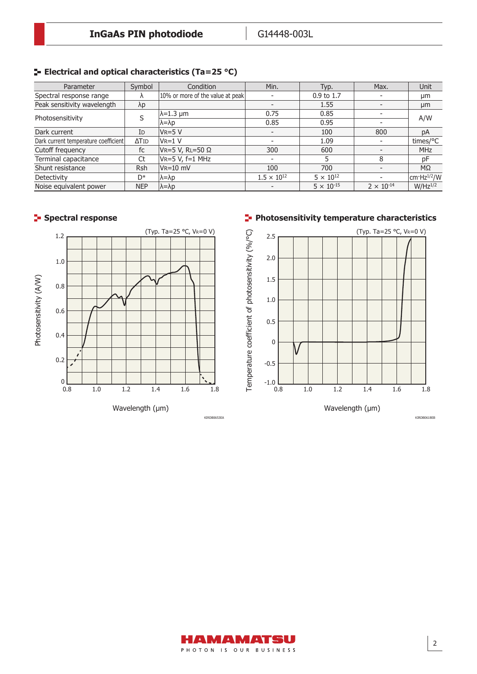# **ELECTRICAL AND OPTICAL CHARACTERISTICS (Ta=25 °C)**

| Parameter                            | Symbol                   | Condition                        | Min.                 | Typ.                | Max.                | Unit                    |
|--------------------------------------|--------------------------|----------------------------------|----------------------|---------------------|---------------------|-------------------------|
| Spectral response range              |                          | 10% or more of the value at peak |                      | 0.9 to 1.7          |                     | μm                      |
| Peak sensitivity wavelength          | λp                       |                                  |                      | 1.55                |                     | μm                      |
| Photosensitivity                     |                          | $\lambda = 1.3 \mu m$            | 0.75                 | 0.85                |                     | A/W                     |
|                                      |                          | $\lambda = \lambda p$            | 0.85                 | 0.95                |                     |                         |
| Dark current                         | ID                       | $VR = 5V$                        |                      | 100                 | 800                 | pA                      |
| Dark current temperature coefficient | $\Delta$ T <sub>ID</sub> | $V_{R=1} V$                      |                      | 1.09                |                     | times/°C                |
| Cutoff frequency                     | fc                       | VR=5 V, RL=50 Ω                  | 300                  | 600                 |                     | <b>MHz</b>              |
| Terminal capacitance                 | Ct                       | VR=5 V, f=1 MHz                  |                      |                     |                     | pF                      |
| Shunt resistance                     | <b>Rsh</b>               | $V_{R}=10$ mV                    | 100                  | 700                 |                     | $M\Omega$               |
| Detectivity                          | D*                       | ∣λ=λp                            | $1.5 \times 10^{12}$ | $5 \times 10^{12}$  |                     | cm·Hz <sup>1/2</sup> /W |
| Noise equivalent power               | <b>NEP</b>               | $\lambda = \lambda p$            |                      | $5 \times 10^{-15}$ | $2 \times 10^{-14}$ | $W/Hz^{1/2}$            |



# **Spectral response Photosensitivity temperature characteristics**



AMAMATSU PHOTON IS OUR BUSINESS KIRDB0618EB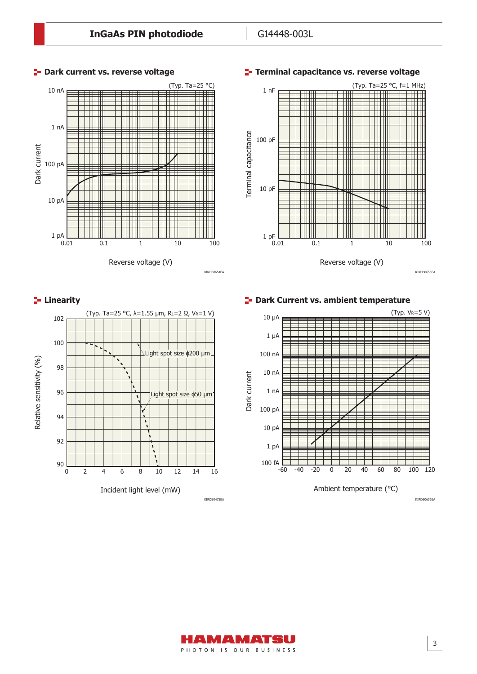



**Linearity Dark Current vs. ambient temperature** 



3

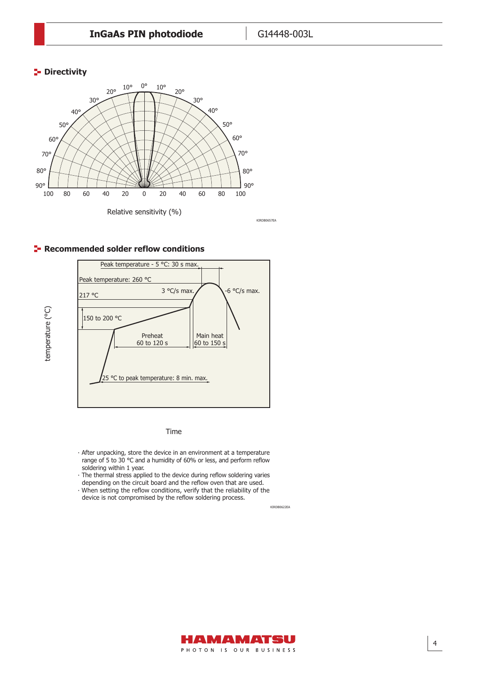# **P** Directivity

temperature (°C)

temperature (°C)



## **Recommended solder reflow conditions**



Time

- ∙ After unpacking, store the device in an environment at a temperature range of 5 to 30 °C and a humidity of 60% or less, and perform reflow soldering within 1 year.
- ∙ The thermal stress applied to the device during reflow soldering varies depending on the circuit board and the reflow oven that are used.
- ∙ When setting the reflow conditions, verify that the reliability of the device is not compromised by the reflow soldering process.

KIRDB0622EA